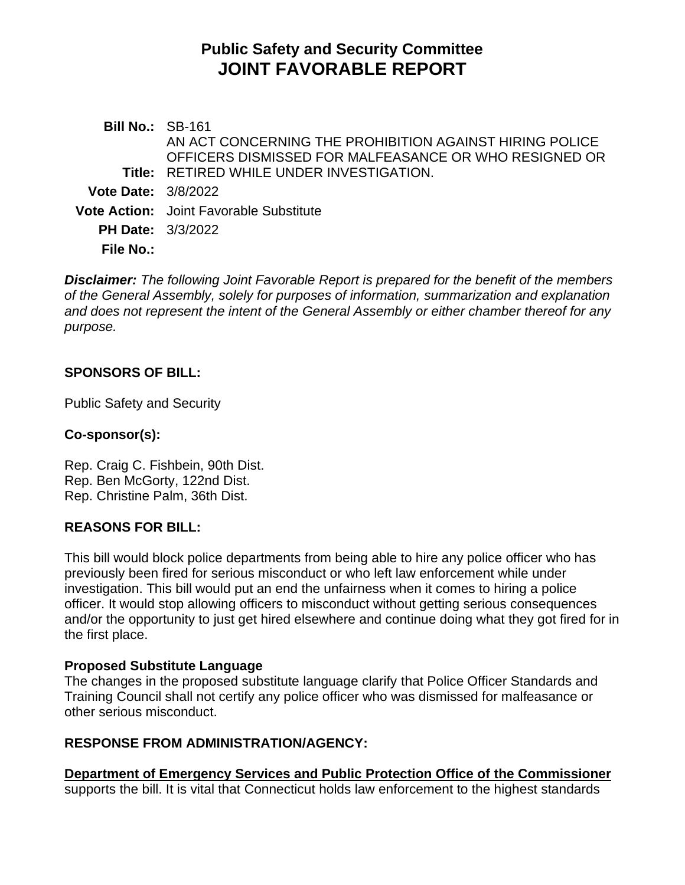# **Public Safety and Security Committee JOINT FAVORABLE REPORT**

**Bill No.:** SB-161 **Title:** RETIRED WHILE UNDER INVESTIGATION. AN ACT CONCERNING THE PROHIBITION AGAINST HIRING POLICE OFFICERS DISMISSED FOR MALFEASANCE OR WHO RESIGNED OR **Vote Date:** 3/8/2022 **Vote Action:** Joint Favorable Substitute **PH Date:** 3/3/2022 **File No.:**

*Disclaimer: The following Joint Favorable Report is prepared for the benefit of the members of the General Assembly, solely for purposes of information, summarization and explanation and does not represent the intent of the General Assembly or either chamber thereof for any purpose.*

## **SPONSORS OF BILL:**

Public Safety and Security

#### **Co-sponsor(s):**

Rep. Craig C. Fishbein, 90th Dist. Rep. Ben McGorty, 122nd Dist. Rep. Christine Palm, 36th Dist.

#### **REASONS FOR BILL:**

This bill would block police departments from being able to hire any police officer who has previously been fired for serious misconduct or who left law enforcement while under investigation. This bill would put an end the unfairness when it comes to hiring a police officer. It would stop allowing officers to misconduct without getting serious consequences and/or the opportunity to just get hired elsewhere and continue doing what they got fired for in the first place.

#### **Proposed Substitute Language**

The changes in the proposed substitute language clarify that Police Officer Standards and Training Council shall not certify any police officer who was dismissed for malfeasance or other serious misconduct.

## **RESPONSE FROM ADMINISTRATION/AGENCY:**

**Department of Emergency Services and Public Protection Office of the Commissioner** supports the bill. It is vital that Connecticut holds law enforcement to the highest standards